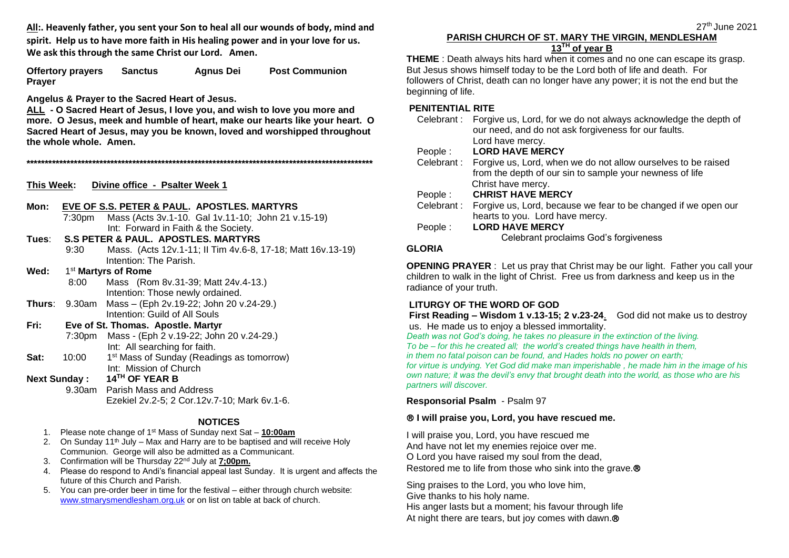**All:. Heavenly father, you sent your Son to heal all our wounds of body, mind and spirit. Help us to have more faith in His healing power and in your love for us. We ask this through the same Christ our Lord. Amen.**

**Offertory prayers Sanctus Agnus Dei Post Communion Prayer**

#### **Angelus & Prayer to the Sacred Heart of Jesus.**

**ALL - O Sacred Heart of Jesus, I love you, and wish to love you more and more. O Jesus, meek and humble of heart, make our hearts like your heart. O Sacred Heart of Jesus, may you be known, loved and worshipped throughout the whole whole. Amen.**

**\*\*\*\*\*\*\*\*\*\*\*\*\*\*\*\*\*\*\*\*\*\*\*\*\*\*\*\*\*\*\*\*\*\*\*\*\*\*\*\*\*\*\*\*\*\*\*\*\*\*\*\*\*\*\*\*\*\*\*\*\*\*\*\*\*\*\*\*\*\*\*\*\*\*\*\*\*\*\*\*\*\*\*\*\*\*\*\*\*\*\*\*\*\*\***

**This Week: Divine office - Psalter Week 1** 

# **Mon: EVE OF S.S. PETER & PAUL. APOSTLES. MARTYRS**

 7:30pm Mass (Acts 3v.1-10. Gal 1v.11-10; John 21 v.15-19) Int: Forward in Faith & the Society.

#### **Tues**: **S.S PETER & PAUL. APOSTLES. MARTYRS**

- 9:30 Mass. (Acts 12v.1-11; II Tim 4v.6-8, 17-18; Matt 16v.13-19) Intention: The Parish.
- Wed: 1<sup>st</sup> Martyrs of Rome
	- 8:00 Mass (Rom 8v.31-39; Matt 24v.4-13.) Intention: Those newly ordained.
- **Thurs**: 9.30am Mass (Eph 2v.19-22; John 20 v.24-29.) Intention: Guild of All Souls
- **Fri: Eve of St. Thomas. Apostle. Martyr**
	- 7:30pm Mass (Eph 2 v.19-22; John 20 v.24-29.) Int: All searching for faith.
- **Sat:** 10:00 1<sup>st</sup> Mass of Sunday (Readings as tomorrow) Int: Mission of Church

# **Next Sunday : 14TH OF YEAR B**

 9.30am Parish Mass and Address Ezekiel 2v.2-5; 2 Cor.12v.7-10; Mark 6v.1-6.

# **NOTICES**

- 1. Please note change of 1st Mass of Sunday next Sat **10:00am**
- 2. On Sunday 11<sup>th</sup> July Max and Harry are to be baptised and will receive Holy Communion. George will also be admitted as a Communicant.
- 3. Confirmation will be Thursday 22nd July at **7;00pm.**
- 4. Please do respond to Andi's financial appeal last Sunday. It is urgent and affects the future of this Church and Parish.
- 5. You can pre-order beer in time for the festival either through church website: [www.stmarysmendlesham.org.uk](http://www.stmarysmendlesham.org.uk/) or on list on table at back of church.

# **PARISH CHURCH OF ST. MARY THE VIRGIN, MENDLESHAM 13TH of year B**

**THEME** : Death always hits hard when it comes and no one can escape its grasp. But Jesus shows himself today to be the Lord both of life and death. For followers of Christ, death can no longer have any power; it is not the end but the beginning of life.

# **PENITENTIAL RITE**

| Celebrant:    | Forgive us, Lord, for we do not always acknowledge the depth of |
|---------------|-----------------------------------------------------------------|
|               | our need, and do not ask forgiveness for our faults.            |
|               | Lord have mercy.                                                |
| People:       | <b>LORD HAVE MERCY</b>                                          |
| Celebrant:    | Forgive us, Lord, when we do not allow ourselves to be raised   |
|               | from the depth of our sin to sample your newness of life        |
|               | Christ have mercy.                                              |
| People:       | <b>CHRIST HAVE MERCY</b>                                        |
| Celebrant:    | Forgive us, Lord, because we fear to be changed if we open our  |
|               | hearts to you. Lord have mercy.                                 |
| People:       | <b>LORD HAVE MERCY</b>                                          |
|               | Celebrant proclaims God's forgiveness                           |
| <b>GLORIA</b> |                                                                 |
|               |                                                                 |

**OPENING PRAYER** : Let us pray that Christ may be our light. Father you call your children to walk in the light of Christ. Free us from darkness and keep us in the radiance of your truth.

# **LITURGY OF THE WORD OF GOD**

**First Reading – Wisdom 1 v.13-15; 2 v.23-24**. God did not make us to destroy us. He made us to enjoy a blessed immortality.

*Death was not God's doing, he takes no pleasure in the extinction of the living. To be – for this he created all; the world's created things have health in them, in them no fatal poison can be found, and Hades holds no power on earth; for virtue is undying. Yet God did make man imperishable , he made him in the image of his own nature; it was the devil's envy that brought death into the world, as those who are his partners will discover.*

# **Responsorial Psalm** - Psalm 97

# **I will praise you, Lord, you have rescued me.**

I will praise you, Lord, you have rescued me And have not let my enemies rejoice over me. O Lord you have raised my soul from the dead, Restored me to life from those who sink into the grave.<sup>®</sup>

Sing praises to the Lord, you who love him, Give thanks to his holy name. His anger lasts but a moment; his favour through life At night there are tears, but joy comes with dawn.<sup>®</sup>